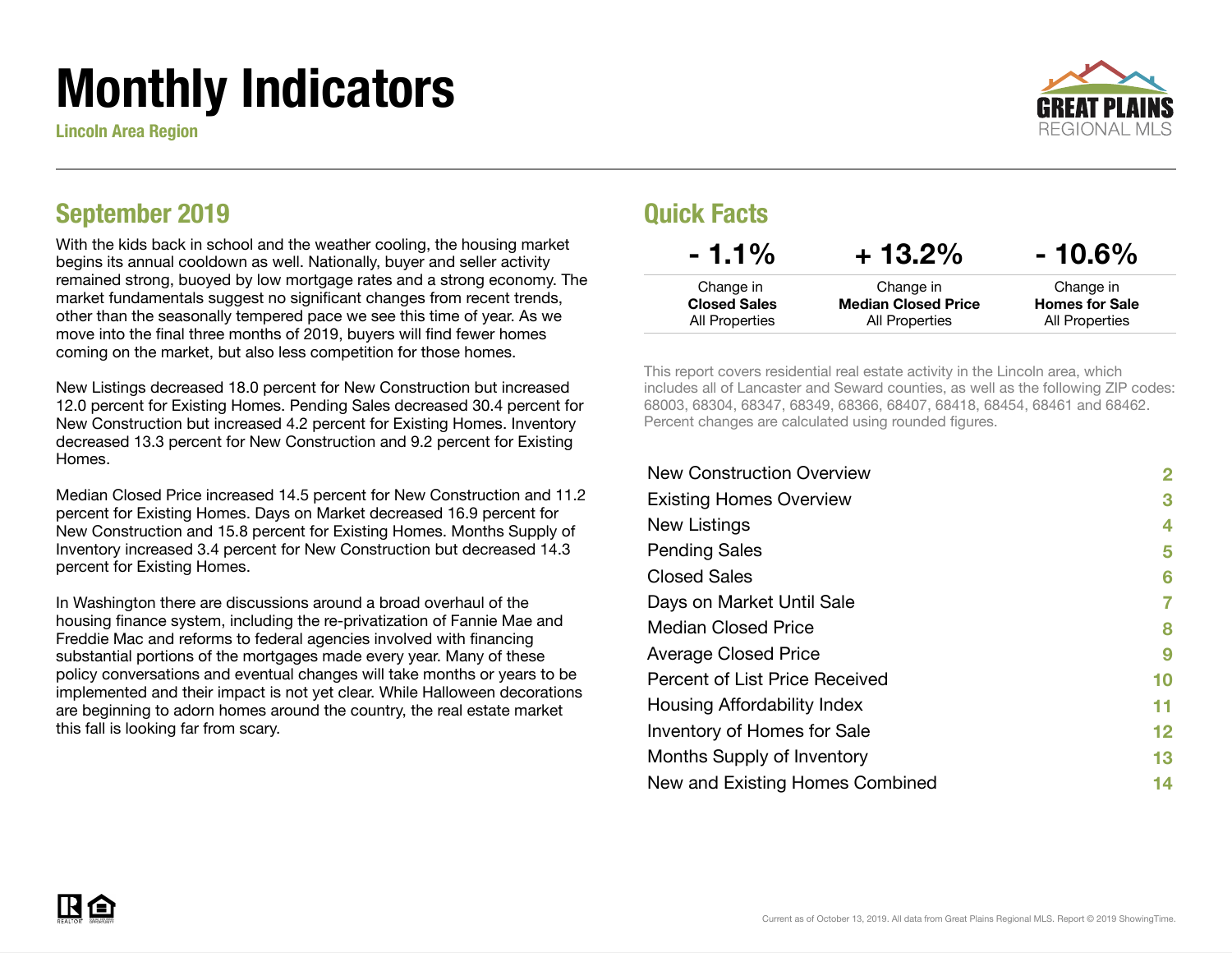# Monthly Indicators

Lincoln Area Region



### September 2019

With the kids back in school and the weather cooling, the housing market begins its annual cooldown as well. Nationally, buyer and seller activity remained strong, buoyed by low mortgage rates and a strong economy. The market fundamentals suggest no significant changes from recent trends, other than the seasonally tempered pace we see this time of year. As we move into the final three months of 2019, buyers will find fewer homes coming on the market, but also less competition for those homes.

New Listings decreased 18.0 percent for New Construction but increased 12.0 percent for Existing Homes. Pending Sales decreased 30.4 percent for New Construction but increased 4.2 percent for Existing Homes. Inventory decreased 13.3 percent for New Construction and 9.2 percent for Existing **Homes** 

Median Closed Price increased 14.5 percent for New Construction and 11.2 percent for Existing Homes. Days on Market decreased 16.9 percent for New Construction and 15.8 percent for Existing Homes. Months Supply of Inventory increased 3.4 percent for New Construction but decreased 14.3 percent for Existing Homes.

In Washington there are discussions around a broad overhaul of the housing finance system, including the re-privatization of Fannie Mae and Freddie Mac and reforms to federal agencies involved with financing substantial portions of the mortgages made every year. Many of these policy conversations and eventual changes will take months or years to be implemented and their impact is not yet clear. While Halloween decorations are beginning to adorn homes around the country, the real estate market this fall is looking far from scary.

#### Quick Facts

| $-1.1\%$            | $+13.2%$                   | $-10.6\%$             |
|---------------------|----------------------------|-----------------------|
| Change in           | Change in                  | Change in             |
| <b>Closed Sales</b> | <b>Median Closed Price</b> | <b>Homes for Sale</b> |
| All Properties      | All Properties             | All Properties        |

This report covers residential real estate activity in the Lincoln area, which includes all of Lancaster and Seward counties, as well as the following ZIP codes: 68003, 68304, 68347, 68349, 68366, 68407, 68418, 68454, 68461 and 68462. Percent changes are calculated using rounded figures.

| <b>New Construction Overview</b> | 2  |
|----------------------------------|----|
| <b>Existing Homes Overview</b>   | 3  |
| New Listings                     | 4  |
| <b>Pending Sales</b>             | 5  |
| <b>Closed Sales</b>              | 6  |
| Days on Market Until Sale        | 7  |
| <b>Median Closed Price</b>       | 8  |
| <b>Average Closed Price</b>      | 9  |
| Percent of List Price Received   | 10 |
| Housing Affordability Index      | 11 |
| Inventory of Homes for Sale      | 12 |
| Months Supply of Inventory       | 13 |
| New and Existing Homes Combined  | 14 |

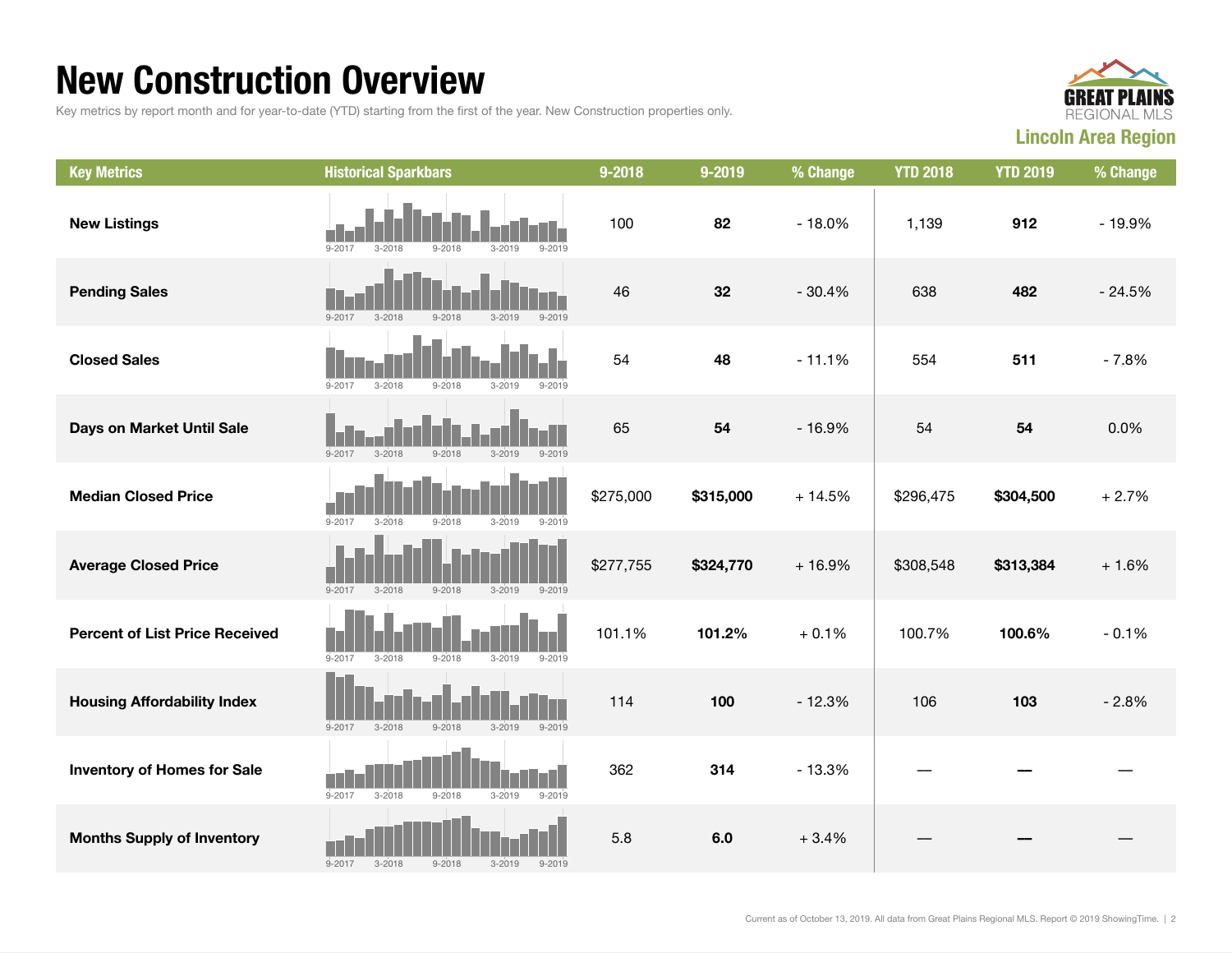### New Construction Overview

Key metrics by report month and for year-to-date (YTD) starting from the first of the year. New Construction properties only.



| <b>Key Metrics</b>                    | <b>Historical Sparkbars</b>                                        | 9-2018    | 9-2019    | % Change | <b>YTD 2018</b> | <b>YTD 2019</b> | % Change |
|---------------------------------------|--------------------------------------------------------------------|-----------|-----------|----------|-----------------|-----------------|----------|
| <b>New Listings</b>                   | $9 - 2017$<br>$3 - 2018$<br>$9 - 2018$<br>$3 - 2019$<br>$9 - 2019$ | 100       | 82        | $-18.0%$ | 1,139           | 912             | $-19.9%$ |
| <b>Pending Sales</b>                  | $9 - 2017$<br>$3 - 2018$<br>$3 - 2019$<br>$9 - 2019$<br>$9 - 2018$ | 46        | 32        | $-30.4%$ | 638             | 482             | $-24.5%$ |
| <b>Closed Sales</b>                   | $9 - 2017$<br>$3 - 2018$<br>$9 - 2018$<br>$3 - 2019$<br>$9 - 2019$ | 54        | 48        | $-11.1%$ | 554             | 511             | $-7.8%$  |
| Days on Market Until Sale             | $3 - 2019$<br>$9 - 2019$<br>$9 - 2017$<br>$3 - 2018$<br>$9 - 2018$ | 65        | 54        | $-16.9%$ | 54              | 54              | 0.0%     |
| <b>Median Closed Price</b>            | $9 - 2017$<br>$3 - 2018$<br>$9 - 2018$<br>$3 - 2019$<br>$9 - 2019$ | \$275,000 | \$315,000 | $+14.5%$ | \$296,475       | \$304,500       | $+2.7%$  |
| <b>Average Closed Price</b>           | $9 - 2017$<br>$9 - 2018$<br>$3 - 2018$<br>$3 - 2019$<br>$9 - 2019$ | \$277,755 | \$324,770 | $+16.9%$ | \$308,548       | \$313,384       | $+1.6%$  |
| <b>Percent of List Price Received</b> | $9 - 2017$<br>$3 - 2018$<br>$9 - 2018$<br>$3 - 2019$<br>$9 - 2019$ | 101.1%    | 101.2%    | $+0.1%$  | 100.7%          | 100.6%          | $-0.1%$  |
| <b>Housing Affordability Index</b>    | $3 - 2018$<br>$9 - 2018$<br>$9 - 2019$<br>$9 - 2017$<br>$3 - 2019$ | 114       | 100       | $-12.3%$ | 106             | 103             | $-2.8%$  |
| <b>Inventory of Homes for Sale</b>    | $9 - 2017$<br>$3 - 2018$<br>$9 - 2018$<br>$3 - 2019$<br>$9 - 2019$ | 362       | 314       | $-13.3%$ |                 |                 |          |
| <b>Months Supply of Inventory</b>     | $3 - 2018$<br>$9 - 2018$<br>$3 - 2019$<br>$9 - 2017$<br>$9 - 2019$ | 5.8       | 6.0       | $+3.4%$  |                 |                 |          |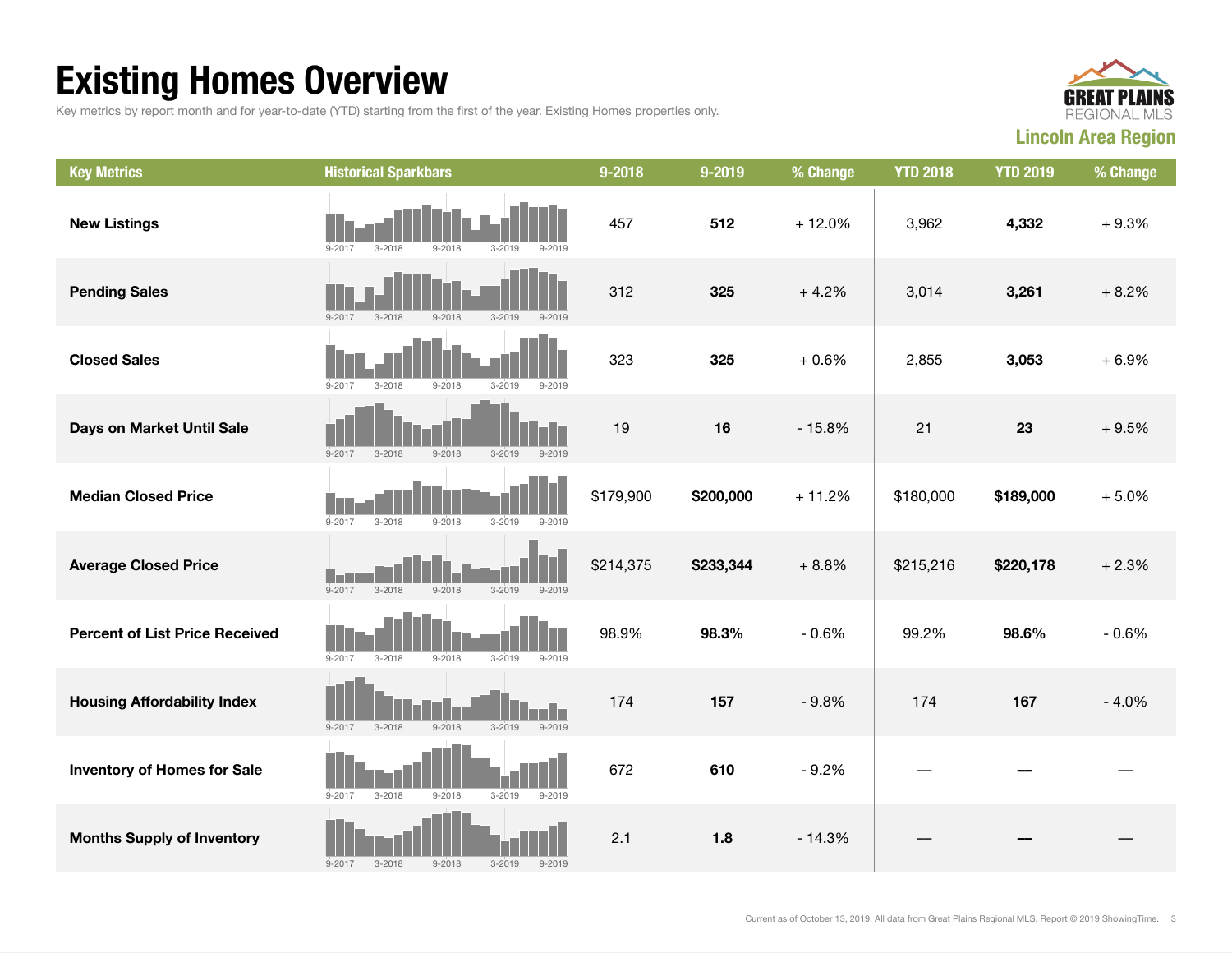## Existing Homes Overview

Key metrics by report month and for year-to-date (YTD) starting from the first of the year. Existing Homes properties only.



| <b>Key Metrics</b>                    | <b>Historical Sparkbars</b>                                        | 9-2018    | 9-2019    | % Change | <b>YTD 2018</b> | <b>YTD 2019</b> | % Change |
|---------------------------------------|--------------------------------------------------------------------|-----------|-----------|----------|-----------------|-----------------|----------|
| <b>New Listings</b>                   | $9 - 2017$<br>$3 - 2018$<br>$9 - 2018$<br>$3 - 2019$<br>$9 - 2019$ | 457       | 512       | $+12.0%$ | 3,962           | 4,332           | $+9.3%$  |
| <b>Pending Sales</b>                  | $9 - 2017$<br>$9 - 2018$<br>$3 - 2019$<br>$3 - 2018$<br>$9 - 2019$ | 312       | 325       | $+4.2%$  | 3,014           | 3,261           | $+8.2%$  |
| <b>Closed Sales</b>                   | $9 - 2017$<br>$3 - 2018$<br>$9 - 2018$<br>$3 - 2019$<br>$9 - 2019$ | 323       | 325       | $+0.6%$  | 2,855           | 3,053           | $+6.9%$  |
| Days on Market Until Sale             | $3 - 2018$<br>$9 - 2018$<br>$3 - 2019$<br>$9 - 2019$<br>$9 - 2017$ | 19        | 16        | $-15.8%$ | 21              | 23              | $+9.5%$  |
| <b>Median Closed Price</b>            | $9 - 2019$<br>$9 - 2017$<br>$3 - 2018$<br>$9 - 2018$<br>$3 - 2019$ | \$179,900 | \$200,000 | $+11.2%$ | \$180,000       | \$189,000       | $+5.0%$  |
| <b>Average Closed Price</b>           | $9 - 2017$<br>$3 - 2018$<br>$9 - 2018$<br>$3 - 2019$<br>$9 - 2019$ | \$214,375 | \$233,344 | $+8.8%$  | \$215,216       | \$220,178       | $+2.3%$  |
| <b>Percent of List Price Received</b> | $9 - 2017$<br>$3 - 2018$<br>$9 - 2018$<br>$3 - 2019$<br>$9 - 2019$ | 98.9%     | 98.3%     | $-0.6%$  | 99.2%           | 98.6%           | $-0.6%$  |
| <b>Housing Affordability Index</b>    | $9 - 2018$<br>$9 - 2019$<br>$9 - 2017$<br>$3 - 2018$<br>$3 - 2019$ | 174       | 157       | $-9.8%$  | 174             | 167             | $-4.0%$  |
| <b>Inventory of Homes for Sale</b>    | $9 - 2019$<br>$9 - 2017$<br>$3 - 2018$<br>$9 - 2018$<br>$3 - 2019$ | 672       | 610       | $-9.2%$  |                 |                 |          |
| <b>Months Supply of Inventory</b>     | $9 - 2017$<br>$3 - 2018$<br>$9 - 2018$<br>$3 - 2019$<br>$9 - 2019$ | 2.1       | 1.8       | $-14.3%$ |                 |                 |          |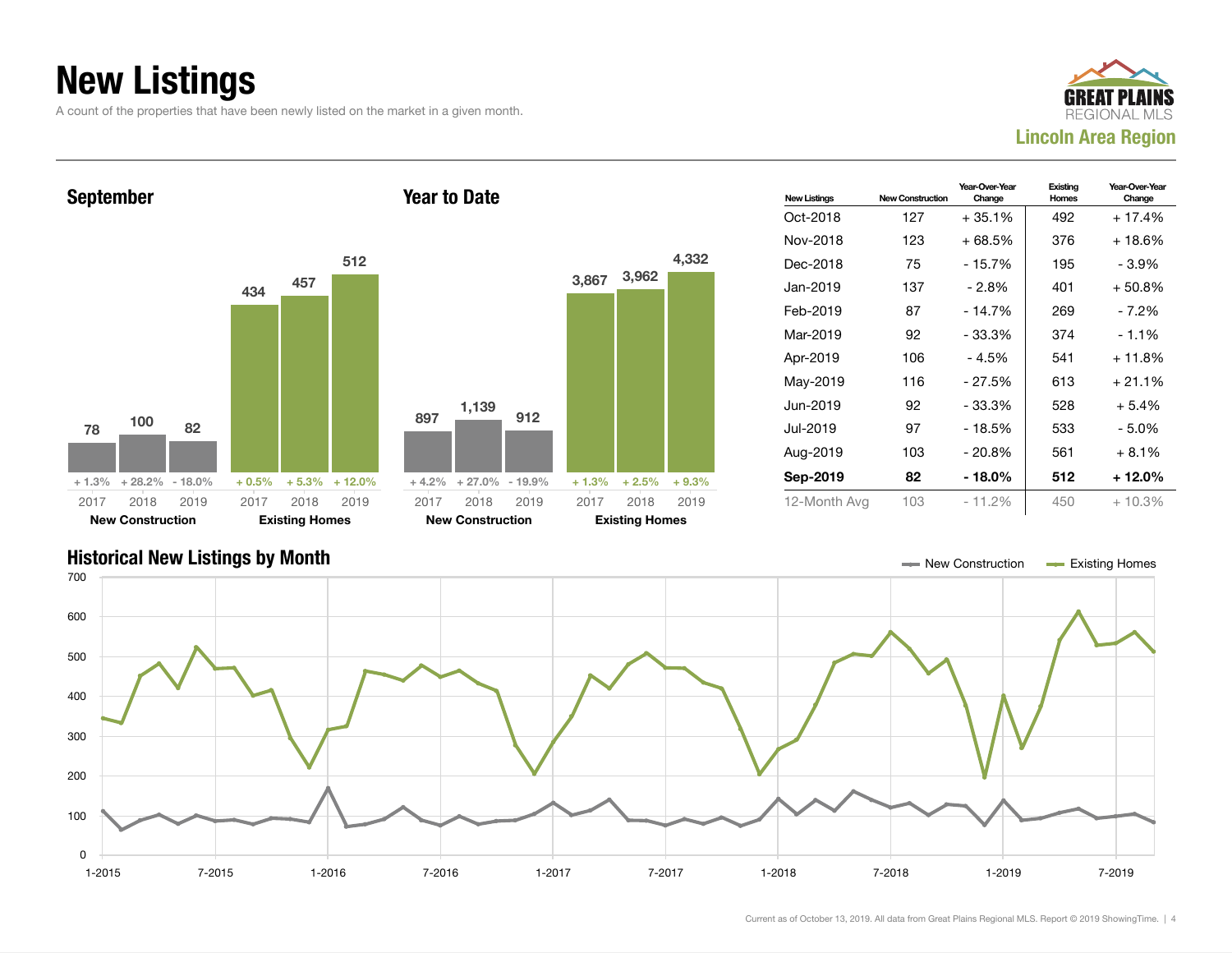### New Listings

A count of the properties that have been newly listed on the market in a given month.





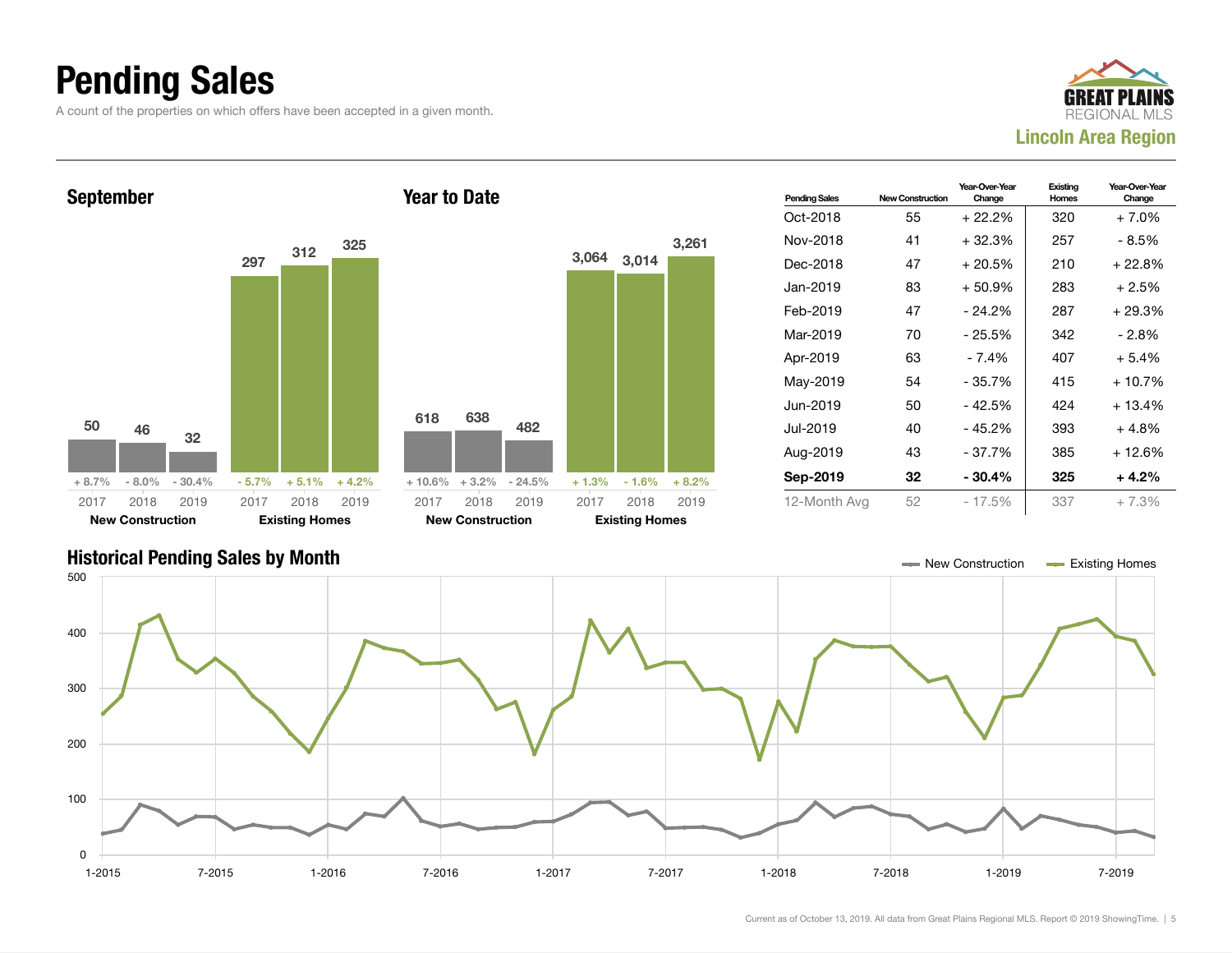### Pending Sales

A count of the properties on which offers have been accepted in a given month.





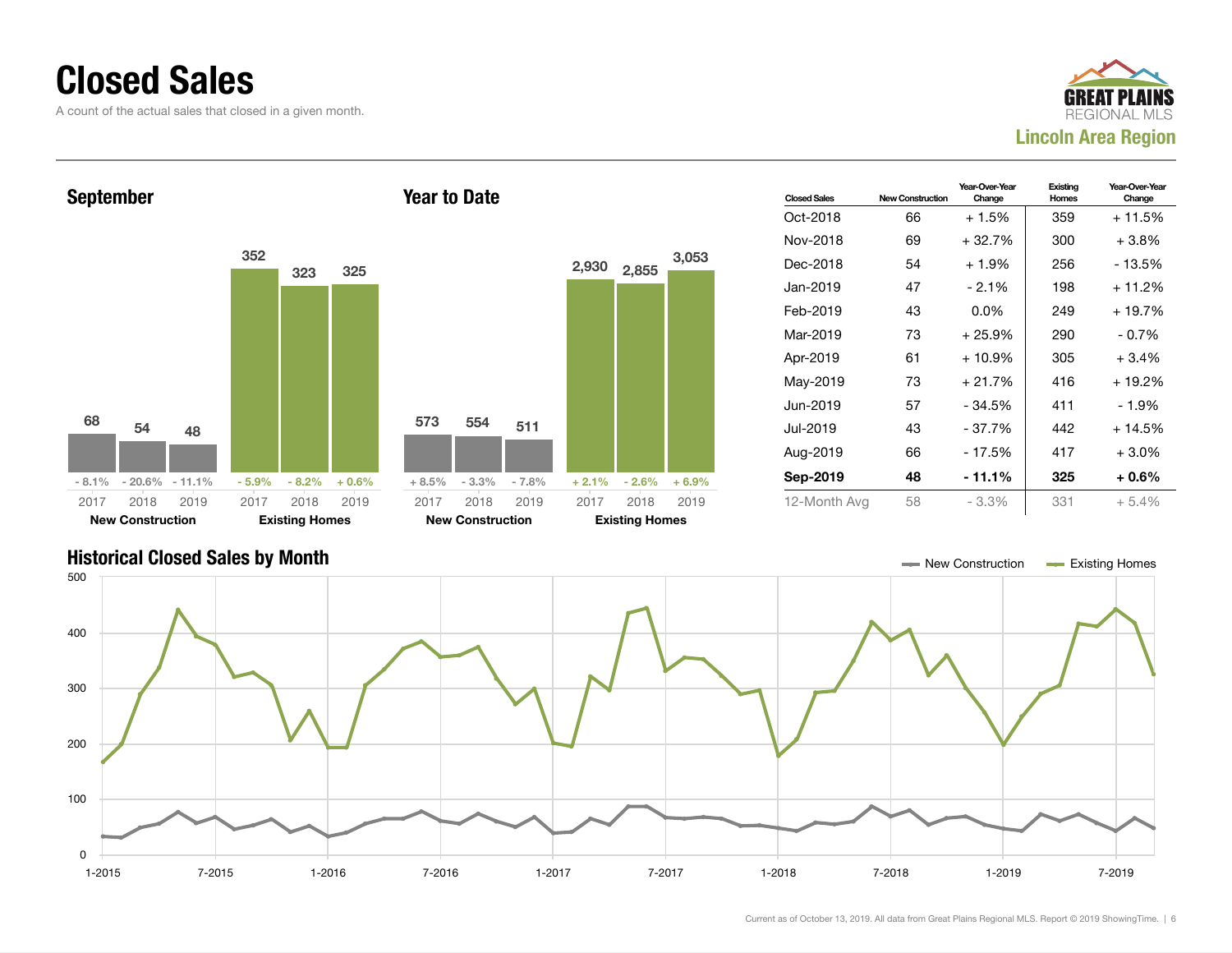### Closed Sales

A count of the actual sales that closed in a given month.





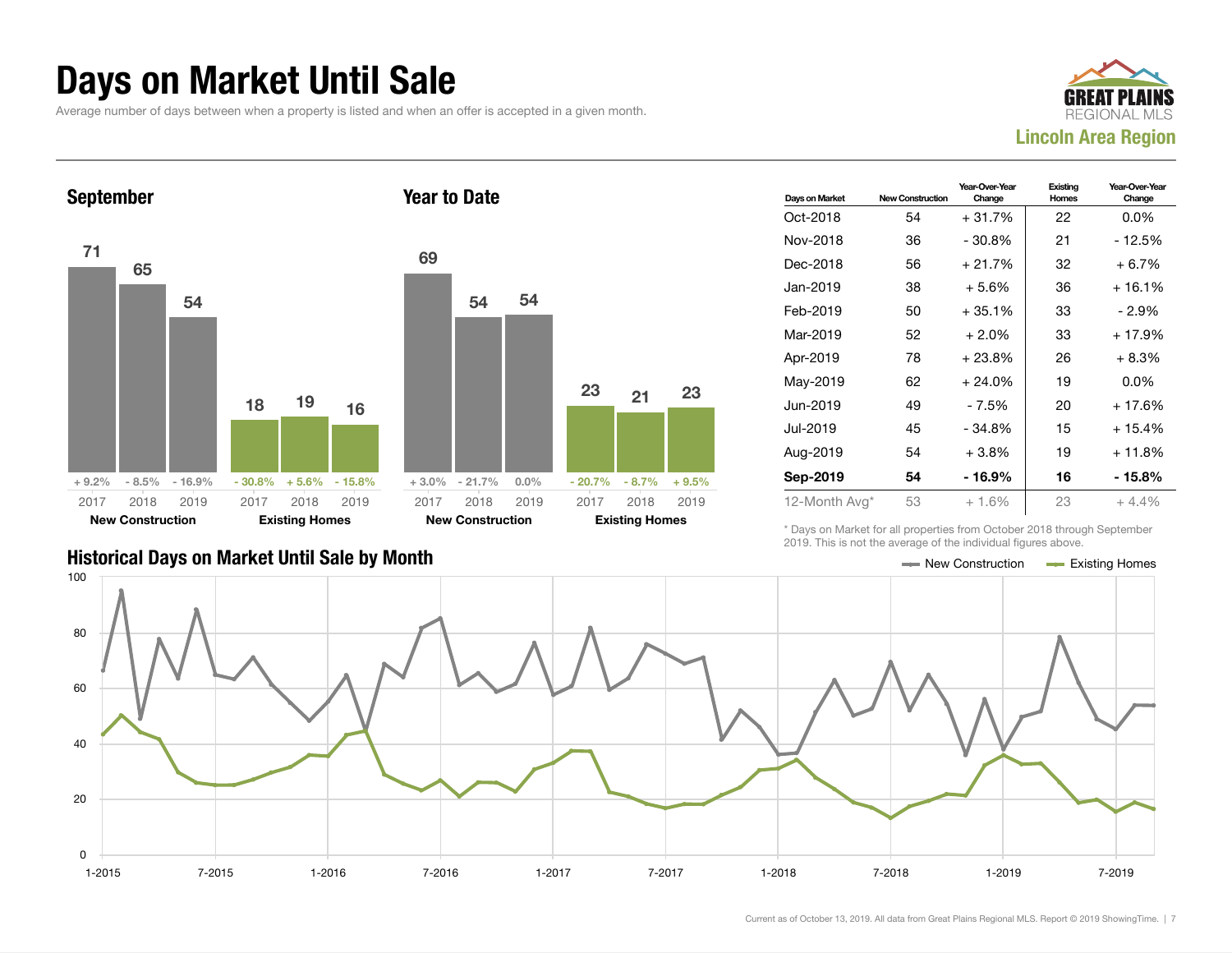### Days on Market Until Sale

Average number of days between when a property is listed and when an offer is accepted in a given month.





| Days on Market | <b>New Construction</b> | Year-Over-Year<br>Change | Existing<br>Homes | Year-Over-Year<br>Change |
|----------------|-------------------------|--------------------------|-------------------|--------------------------|
| Oct-2018       | 54                      | $+31.7%$                 | 22                | $0.0\%$                  |
| Nov-2018       | 36                      | $-30.8\%$                | 21                | - 12.5%                  |
| Dec-2018       | 56                      | $+21.7%$                 | 32                | $+6.7\%$                 |
| Jan-2019       | 38                      | $+5.6%$                  | 36                | + 16.1%                  |
| Feb-2019       | 50                      | $+35.1%$                 | 33                | - 2.9%                   |
| Mar-2019       | 52                      | $+2.0%$                  | 33                | $+17.9%$                 |
| Apr-2019       | 78                      | $+23.8%$                 | 26                | $+8.3%$                  |
| May-2019       | 62                      | $+24.0%$                 | 19                | $0.0\%$                  |
| Jun-2019       | 49                      | - 7.5%                   | 20                | $+17.6%$                 |
| Jul-2019       | 45                      | $-34.8%$                 | 15                | $+15.4%$                 |
| Aug-2019       | 54                      | $+3.8\%$                 | 19                | + 11.8%                  |
| Sep-2019       | 54                      | - 16.9%                  | 16                | - 15.8%                  |
| 12-Month Avg*  | 53                      | $+1.6%$                  | 23                | $+4.4%$                  |

Historical Days on Market Until Sale by Month  $\blacksquare$  New Construction  $\blacksquare$  Existing Homes

\* Days on Market for all properties from October 2018 through September 2019. This is not the average of the individual figures above.

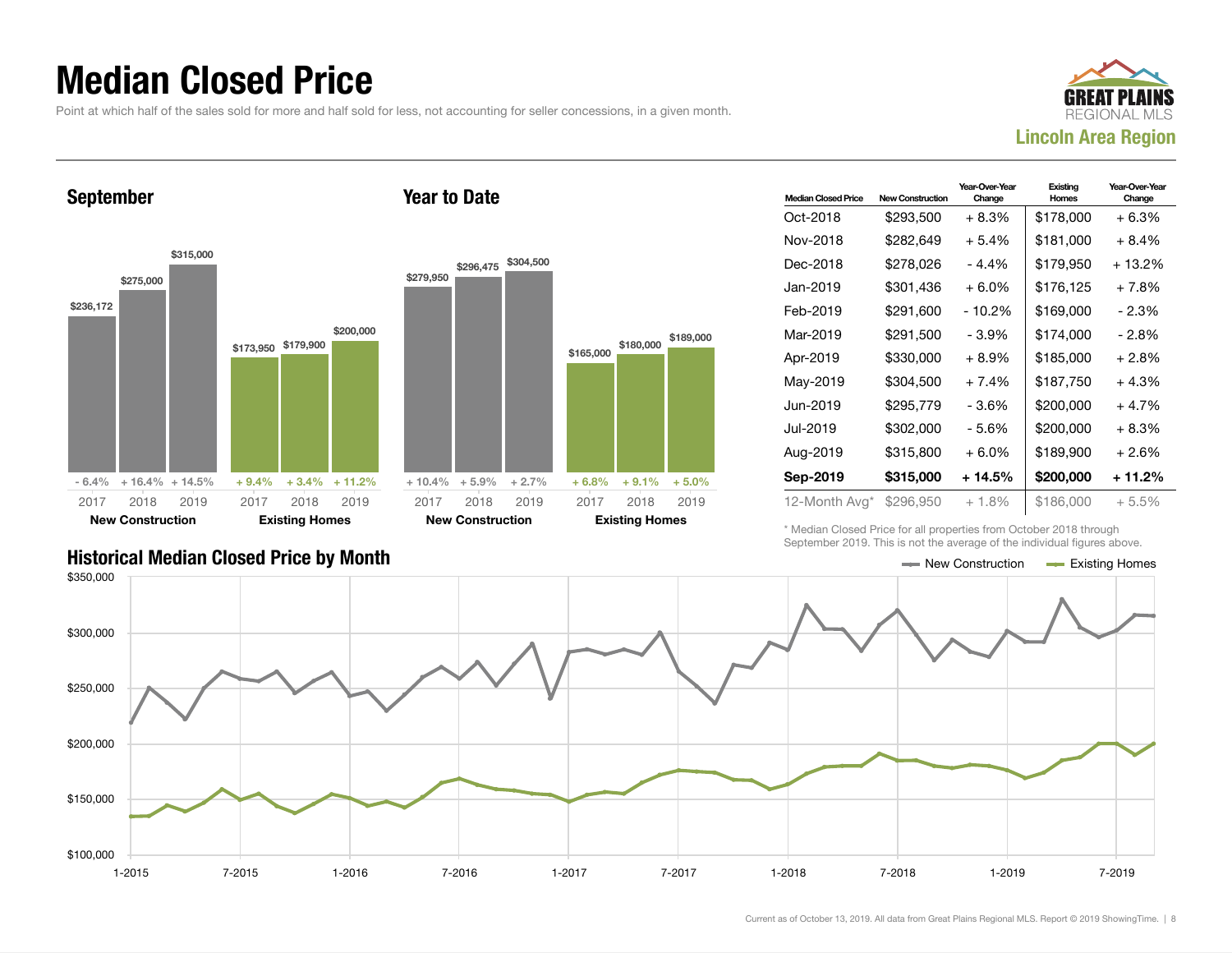### Median Closed Price

Point at which half of the sales sold for more and half sold for less, not accounting for seller concessions, in a given month.

Year to Date



September



| <b>Median Closed Price</b> | <b>New Construction</b> | Year-Over-Year<br>Change | Existing<br>Homes | Year-Over-Year<br>Change |
|----------------------------|-------------------------|--------------------------|-------------------|--------------------------|
| Oct-2018                   | \$293,500               | $+8.3%$                  | \$178,000         | + 6.3%                   |
| Nov-2018                   | \$282,649               | $+5.4%$                  | \$181,000         | $+8.4%$                  |
| Dec-2018                   | \$278,026               | $-4.4%$                  | \$179,950         | $+13.2%$                 |
| Jan-2019                   | \$301,436               | $+6.0\%$                 | \$176,125         | + 7.8%                   |
| Feb-2019                   | \$291,600               | $-10.2%$                 | \$169,000         | $-2.3%$                  |
| Mar-2019                   | \$291,500               | - 3.9%                   | \$174,000         | - 2.8%                   |
| Apr-2019                   | \$330,000               | $+8.9\%$                 | \$185,000         | + 2.8%                   |
| May-2019                   | \$304,500               | $+7.4%$                  | \$187,750         | $+4.3%$                  |
| Jun-2019.                  | \$295,779               | - 3.6%                   | \$200,000         | $+4.7%$                  |
| Jul-2019                   | \$302,000               | - 5.6%                   | \$200,000         | $+8.3%$                  |
| Aug-2019                   | \$315,800               | $+6.0\%$                 | \$189,900         | $+2.6%$                  |
| Sep-2019                   | \$315,000               | + 14.5%                  | \$200,000         | + 11.2%                  |
| 12-Month Avg*              | \$296,950               | $+1.8%$                  | \$186,000         | $+5.5\%$                 |

\* Median Closed Price for all properties from October 2018 through September 2019. This is not the average of the individual figures above.



#### Historical Median Closed Price by Month  $\blacksquare$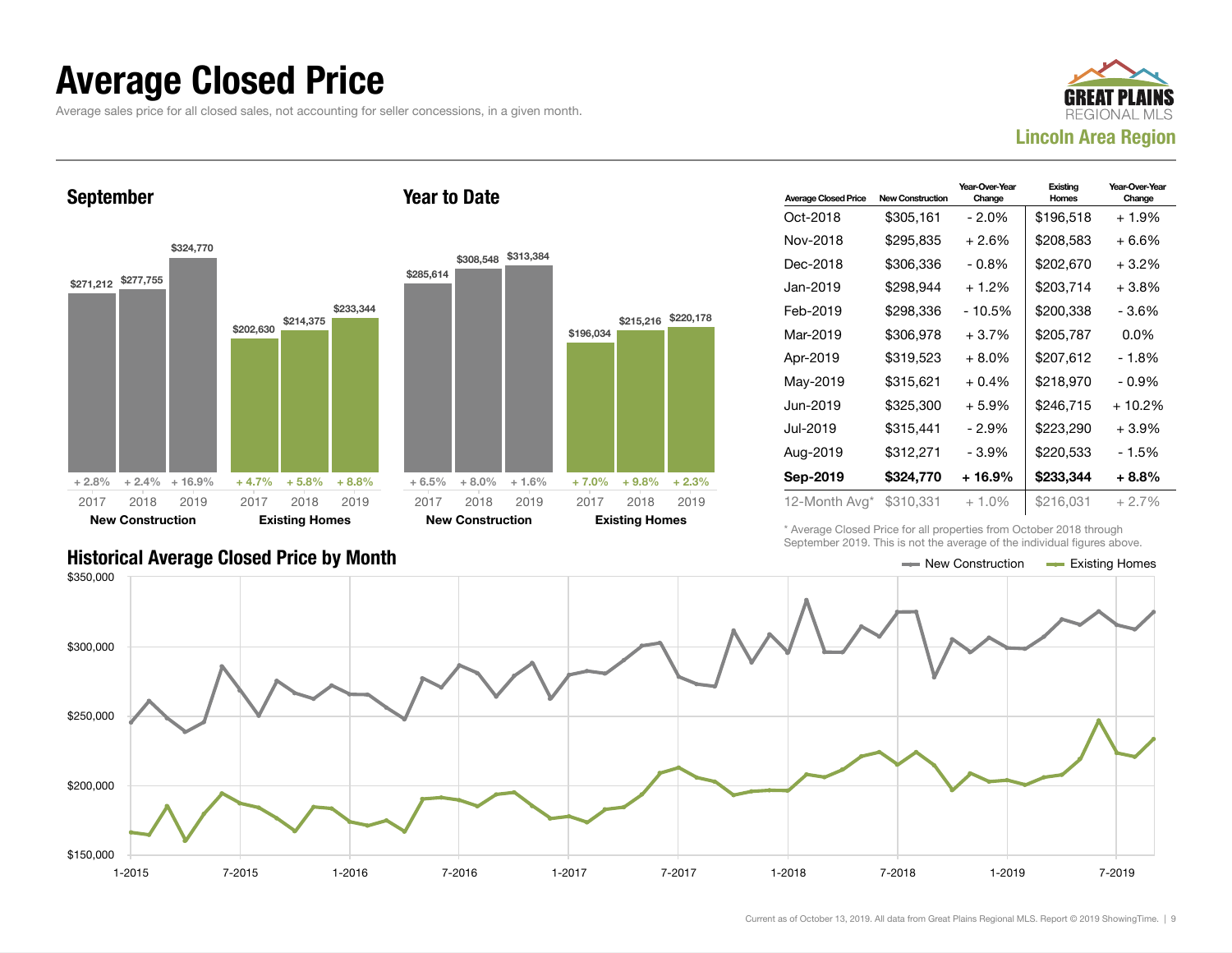### Average Closed Price

Average sales price for all closed sales, not accounting for seller concessions, in a given month.



September





| <b>Average Closed Price</b> | <b>New Construction</b> | Year-Over-Year<br>Change | Existing<br>Homes | Year-Over-Year<br>Change |
|-----------------------------|-------------------------|--------------------------|-------------------|--------------------------|
| Oct-2018                    | \$305,161               | $-2.0\%$                 | \$196,518         | $+1.9%$                  |
| Nov-2018                    | \$295,835               | $+2.6%$                  | \$208,583         | + 6.6%                   |
| Dec-2018                    | \$306,336               | $-0.8\%$                 | \$202,670         | $+3.2%$                  |
| Jan-2019                    | \$298.944               | $+1.2%$                  | \$203,714         | $+3.8\%$                 |
| Feb-2019                    | \$298.336               | $-10.5%$                 | \$200,338         | - 3.6%                   |
| Mar-2019                    | \$306,978               | $+3.7%$                  | \$205,787         | $0.0\%$                  |
| Apr-2019                    | \$319,523               | $+8.0\%$                 | \$207,612         | - 1.8%                   |
| May-2019                    | \$315,621               | $+0.4%$                  | \$218,970         | - 0.9%                   |
| Jun-2019                    | \$325,300               | $+5.9\%$                 | \$246,715         | + 10.2%                  |
| Jul-2019                    | \$315,441               | $-2.9%$                  | \$223,290         | $+3.9%$                  |
| Aug-2019                    | \$312,271               | - 3.9%                   | \$220,533         | - 1.5%                   |
| Sep-2019                    | \$324,770               | + 16.9%                  | \$233,344         | $+8.8%$                  |
| 12-Month Avg*               | \$310,331               | $+1.0%$                  | \$216,031         | $+2.7%$                  |

\* Average Closed Price for all properties from October 2018 through September 2019. This is not the average of the individual figures above.



#### Historical Average Closed Price by Month  $\blacksquare$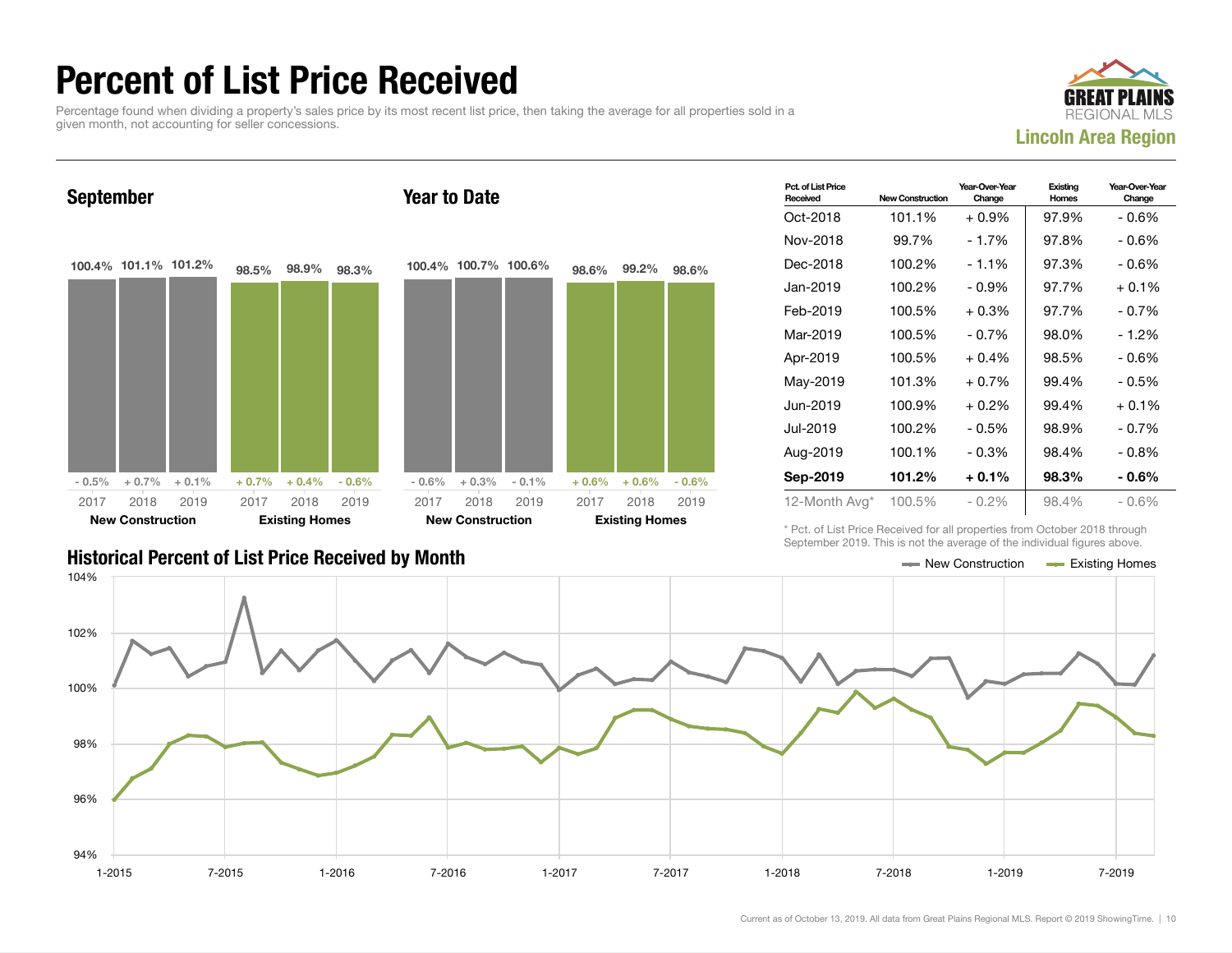### Percent of List Price Received

Percentage found when dividing a property's sales price by its most recent list price, then taking the average for all properties sold in a given month, not accounting for seller concessions.





| <b>Historical Percent of List Price Received by Month</b> | — New Construction | <b>Existing Homes</b> |
|-----------------------------------------------------------|--------------------|-----------------------|

| Pct. of List Price<br>Received | <b>New Construction</b> | Year-Over-Year<br>Change | Existing<br>Homes | Year-Over-Year<br>Change |
|--------------------------------|-------------------------|--------------------------|-------------------|--------------------------|
| Oct-2018                       | 101.1%                  | $+0.9%$                  | 97.9%             | - 0.6%                   |
| Nov-2018                       | 99.7%                   | $-1.7%$                  | 97.8%             | - 0.6%                   |
| Dec-2018                       | 100.2%                  | $-1.1%$                  | 97.3%             | - 0.6%                   |
| Jan-2019                       | 100.2%                  | - 0.9%                   | 97.7%             | $+0.1\%$                 |
| Feb-2019                       | 100.5%                  | $+0.3\%$                 | 97.7%             | $-0.7\%$                 |
| Mar-2019                       | 100.5%                  | $-0.7%$                  | 98.0%             | $-1.2%$                  |
| Apr-2019                       | 100.5%                  | $+0.4%$                  | 98.5%             | - 0.6%                   |
| May-2019                       | 101.3%                  | $+0.7\%$                 | 99.4%             | - 0.5%                   |
| Jun-2019                       | 100.9%                  | $+0.2%$                  | 99.4%             | $+0.1%$                  |
| Jul-2019.                      | 100.2%                  | - 0.5%                   | 98.9%             | $-0.7%$                  |
| Aug-2019                       | 100.1%                  | - 0.3%                   | 98.4%             | - 0.8%                   |
| Sep-2019                       | 101.2%                  | $+0.1\%$                 | 98.3%             | $-0.6\%$                 |
| 12-Month Avg*                  | 100.5%                  | - 0.2%                   | 98.4%             | $-0.6\%$                 |

\* Pct. of List Price Received for all properties from October 2018 through September 2019. This is not the average of the individual figures above.



Current as of October 13, 2019. All data from Great Plains Regional MLS. Report © 2019 ShowingTime. | 10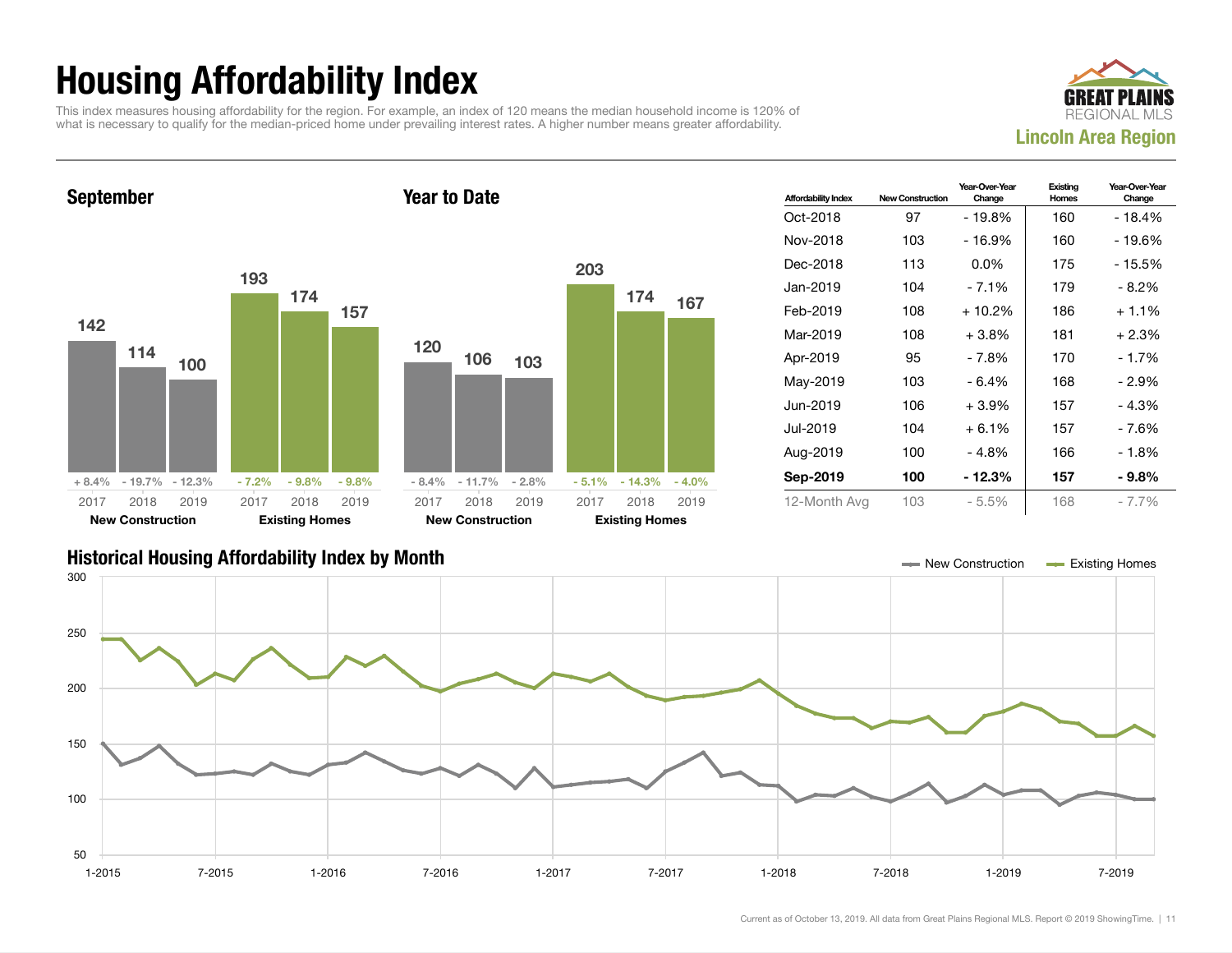## Housing Affordability Index

This index measures housing affordability for the region. For example, an index of 120 means the median household income is 120% of what is necessary to qualify for the median-priced home under prevailing interest rates. A higher number means greater affordability.





| <b>Affordability Index</b> | <b>New Construction</b> | Year-Over-Year<br>Change | Existing<br>Homes | Year-Over-Year<br>Change |
|----------------------------|-------------------------|--------------------------|-------------------|--------------------------|
| Oct-2018                   | 97                      | - 19.8%                  | 160               | - 18.4%                  |
| Nov-2018                   | 103                     | - 16.9%                  | 160               | - 19.6%                  |
| Dec-2018                   | 113                     | $0.0\%$                  | 175               | - 15.5%                  |
| Jan-2019                   | 104                     | - 7.1%                   | 179               | - 8.2%                   |
| Feb-2019                   | 108                     | $+10.2%$                 | 186               | $+1.1%$                  |
| Mar-2019                   | 108                     | $+3.8\%$                 | 181               | $+2.3%$                  |
| Apr-2019                   | 95                      | - 7.8%                   | 170               | - 1.7%                   |
| May-2019                   | 103                     | - 6.4%                   | 168               | - 2.9%                   |
| Jun-2019                   | 106                     | $+3.9\%$                 | 157               | - 4.3%                   |
| Jul-2019                   | 104                     | $+6.1%$                  | 157               | - 7.6%                   |
| Aug-2019                   | 100                     | - 4.8%                   | 166               | - 1.8%                   |
| Sep-2019                   | 100                     | - 12.3%                  | 157               | $-9.8\%$                 |
| 12-Month Avg               | 103                     | $-5.5%$                  | 168               | $-7.7%$                  |

#### Historical Housing Affordability Index by Month New Construction Existing Homes

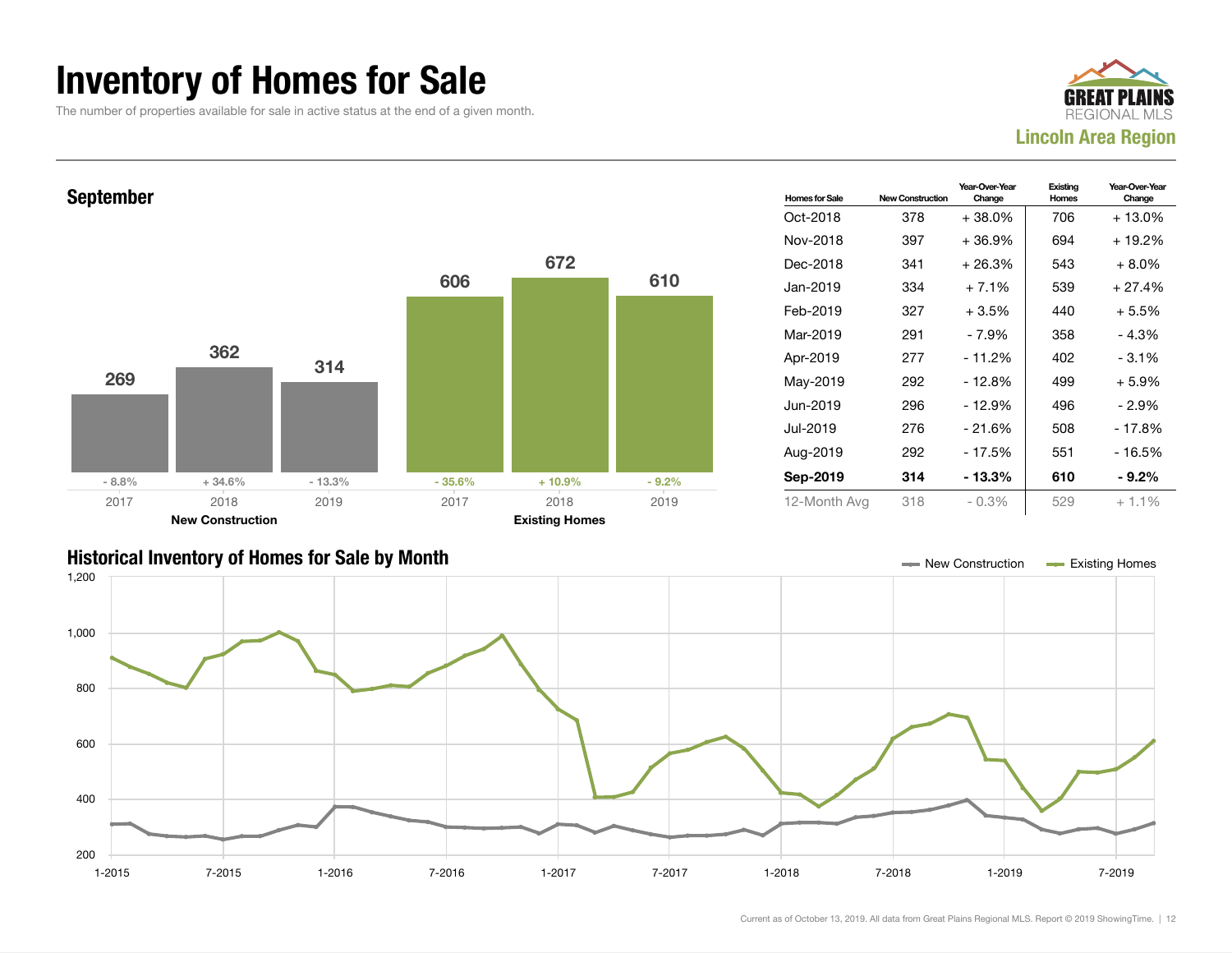### Inventory of Homes for Sale

The number of properties available for sale in active status at the end of a given month.





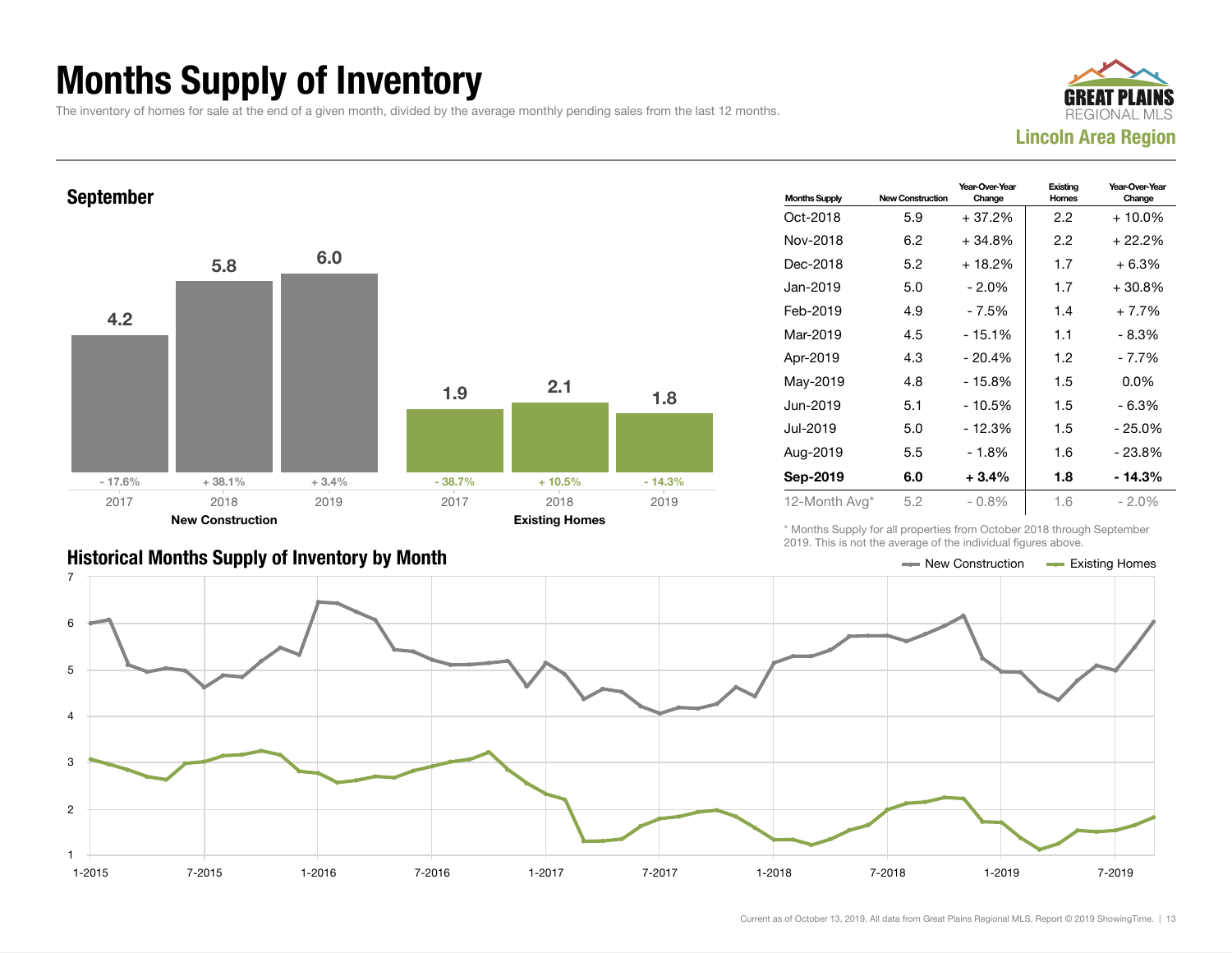### Months Supply of Inventory

The inventory of homes for sale at the end of a given month, divided by the average monthly pending sales from the last 12 months.





| <b>Months Supply</b> | <b>New Construction</b> | Year-Over-Year<br>Change | Existing<br>Homes | Year-Over-Year<br>Change |
|----------------------|-------------------------|--------------------------|-------------------|--------------------------|
| Oct-2018             | 5.9                     | + 37.2%                  | 2.2               | $+10.0\%$                |
| Nov-2018             | 6.2                     | $+34.8%$                 | 2.2               | + 22.2%                  |
| Dec-2018             | 5.2                     | $+18.2%$                 | 1.7               | $+6.3%$                  |
| Jan-2019             | 5.0                     | $-2.0\%$                 | 1.7               | $+30.8\%$                |
| Feb-2019             | 4.9                     | - 7.5%                   | 1.4               | $+7.7%$                  |
| Mar-2019             | 4.5                     | $-15.1%$                 | 1.1               | $-8.3%$                  |
| Apr-2019             | 4.3                     | $-20.4%$                 | 1.2               | $-7.7%$                  |
| May-2019             | 4.8                     | $-15.8%$                 | 1.5               | $0.0\%$                  |
| Jun-2019             | 5.1                     | - 10.5%                  | 1.5               | - 6.3%                   |
| Jul-2019             | 5.0                     | $-12.3%$                 | 1.5               | $-25.0%$                 |
| Aug-2019             | 5.5                     | - 1.8%                   | 1.6               | $-23.8%$                 |
| Sep-2019             | 6.0                     | $+3.4%$                  | 1.8               | $-14.3%$                 |
| 12-Month Avg*        | 5.2                     | $-0.8\%$                 | 1.6               | $-2.0\%$                 |

\* Months Supply for all properties from October 2018 through September 2019. This is not the average of the individual figures above.